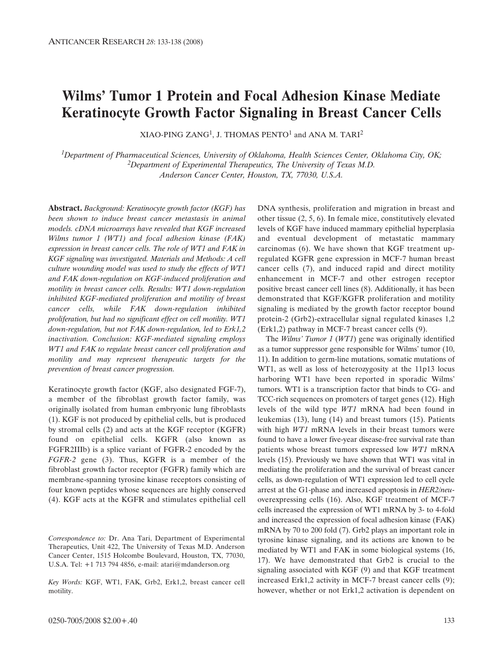# **Wilms' Tumor 1 Protein and Focal Adhesion Kinase Mediate Keratinocyte Growth Factor Signaling in Breast Cancer Cells**

XIAO-PING ZANG<sup>1</sup>, J. THOMAS PENTO<sup>1</sup> and ANA M. TARI<sup>2</sup>

*1Department of Pharmaceutical Sciences, University of Oklahoma, Health Sciences Center, Oklahoma City, OK; 2Department of Experimental Therapeutics, The University of Texas M.D. Anderson Cancer Center, Houston, TX, 77030, U.S.A.*

**Abstract.** *Background: Keratinocyte growth factor (KGF) has been shown to induce breast cancer metastasis in animal models. cDNA microarrays have revealed that KGF increased Wilms tumor 1 (WT1) and focal adhesion kinase (FAK) expression in breast cancer cells. The role of WT1 and FAK in KGF signaling was investigated. Materials and Methods: A cell culture wounding model was used to study the effects of WT1 and FAK down-regulation on KGF-induced proliferation and motility in breast cancer cells. Results: WT1 down-regulation inhibited KGF-mediated proliferation and motility of breast cancer cells, while FAK down-regulation inhibited proliferation, but had no significant effect on cell motility. WT1 down-regulation, but not FAK down-regulation, led to Erk1,2 inactivation. Conclusion: KGF-mediated signaling employs WT1 and FAK to regulate breast cancer cell proliferation and motility and may represent therapeutic targets for the prevention of breast cancer progression.*

Keratinocyte growth factor (KGF, also designated FGF-7), a member of the fibroblast growth factor family, was originally isolated from human embryonic lung fibroblasts (1). KGF is not produced by epithelial cells, but is produced by stromal cells (2) and acts at the KGF receptor (KGFR) found on epithelial cells. KGFR (also known as FGFR2IIIb) is a splice variant of FGFR-2 encoded by the *FGFR-2* gene (3). Thus, KGFR is a member of the fibroblast growth factor receptor (FGFR) family which are membrane-spanning tyrosine kinase receptors consisting of four known peptides whose sequences are highly conserved (4). KGF acts at the KGFR and stimulates epithelial cell

*Correspondence to:* Dr. Ana Tari, Department of Experimental Therapeutics, Unit 422, The University of Texas M.D. Anderson Cancer Center, 1515 Holcombe Boulevard, Houston, TX, 77030, U.S.A. Tel: +1 713 794 4856, e-mail: atari@mdanderson.org

*Key Words:* KGF, WT1, FAK, Grb2, Erk1,2, breast cancer cell motility.

DNA synthesis, proliferation and migration in breast and other tissue (2, 5, 6). In female mice, constitutively elevated levels of KGF have induced mammary epithelial hyperplasia and eventual development of metastatic mammary carcinomas (6). We have shown that KGF treatment upregulated KGFR gene expression in MCF-7 human breast cancer cells (7), and induced rapid and direct motility enhancement in MCF-7 and other estrogen receptor positive breast cancer cell lines (8). Additionally, it has been demonstrated that KGF/KGFR proliferation and motility signaling is mediated by the growth factor receptor bound protein-2 (Grb2)-extracellular signal regulated kinases 1,2 (Erk1,2) pathway in MCF-7 breast cancer cells (9).

The *Wilms' Tumor 1* (*WT1*) gene was originally identified as a tumor suppressor gene responsible for Wilms' tumor (10, 11). In addition to germ-line mutations, somatic mutations of WT1, as well as loss of heterozygosity at the 11p13 locus harboring WT1 have been reported in sporadic Wilms' tumors. WT1 is a transcription factor that binds to CG- and TCC-rich sequences on promoters of target genes (12). High levels of the wild type *WT1* mRNA had been found in leukemias (13), lung (14) and breast tumors (15). Patients with high *WT1* mRNA levels in their breast tumors were found to have a lower five-year disease-free survival rate than patients whose breast tumors expressed low *WT1* mRNA levels (15). Previously we have shown that WT1 was vital in mediating the proliferation and the survival of breast cancer cells, as down-regulation of WT1 expression led to cell cycle arrest at the G1-phase and increased apoptosis in *HER2/neu*overexpressing cells (16). Also, KGF treatment of MCF-7 cells increased the expression of WT1 mRNA by 3- to 4-fold and increased the expression of focal adhesion kinase (FAK) mRNA by 70 to 200 fold (7). Grb2 plays an important role in tyrosine kinase signaling, and its actions are known to be mediated by WT1 and FAK in some biological systems (16, 17). We have demonstrated that Grb2 is crucial to the signaling associated with KGF (9) and that KGF treatment increased Erk1,2 activity in MCF-7 breast cancer cells (9); however, whether or not Erk1,2 activation is dependent on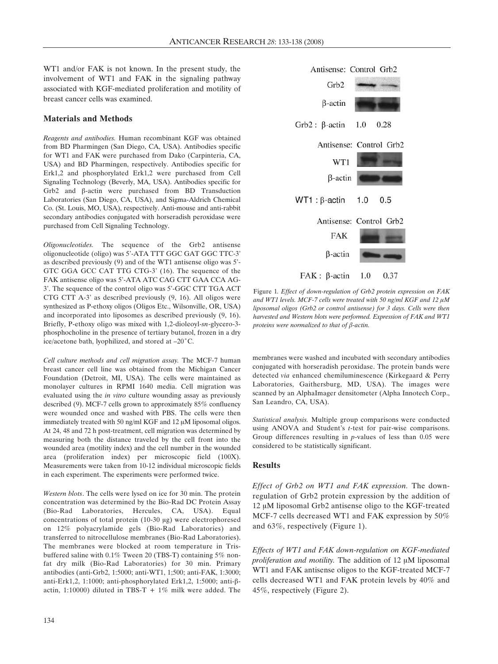WT1 and/or FAK is not known. In the present study, the involvement of WT1 and FAK in the signaling pathway associated with KGF-mediated proliferation and motility of breast cancer cells was examined.

# **Materials and Methods**

*Reagents and antibodies.* Human recombinant KGF was obtained from BD Pharmingen (San Diego, CA, USA). Antibodies specific for WT1 and FAK were purchased from Dako (Carpinteria, CA, USA) and BD Pharmingen, respectively. Antibodies specific for Erk1,2 and phosphorylated Erk1,2 were purchased from Cell Signaling Technology (Beverly, MA, USA). Antibodies specific for  $Grb2$  and  $\beta$ -actin were purchased from BD Transduction Laboratories (San Diego, CA, USA), and Sigma-Aldrich Chemical Co. (St. Louis, MO, USA), respectively. Anti-mouse and anti-rabbit secondary antibodies conjugated with horseradish peroxidase were purchased from Cell Signaling Technology.

*Oligonucleotides.* The sequence of the Grb2 antisense oligonucleotide (oligo) was 5'-ATA TTT GGC GAT GGC TTC-3' as described previously (9) and of the WT1 antisense oligo was 5'- GTC GGA GCC CAT TTG CTG-3' (16). The sequence of the FAK antisense oligo was 5'-ATA ATC CAG CTT GAA CCA AG-3'. The sequence of the control oligo was 5'-GGC CTT TGA ACT CTG CTT A-3' as described previously (9, 16). All oligos were synthesized as P-ethoxy oligos (Oligos Etc., Wilsonville, OR, USA) and incorporated into liposomes as described previously (9, 16). Briefly, P-ethoxy oligo was mixed with 1,2-dioleoyl-*sn*-glycero-3 phosphocholine in the presence of tertiary butanol, frozen in a dry ice/acetone bath, lyophilized, and stored at  $-20^{\circ}$ C.

*Cell culture methods and cell migration assay.* The MCF-7 human breast cancer cell line was obtained from the Michigan Cancer Foundation (Detroit, MI, USA). The cells were maintained as monolayer cultures in RPMI 1640 media. Cell migration was evaluated using the *in vitro* culture wounding assay as previously described (9). MCF-7 cells grown to approximately 85% confluency were wounded once and washed with PBS. The cells were then immediately treated with 50 ng/ml KGF and 12 µM liposomal oligos. At 24, 48 and 72 h post-treatment, cell migration was determined by measuring both the distance traveled by the cell front into the wounded area (motility index) and the cell number in the wounded area (proliferation index) per microscopic field (100X). Measurements were taken from 10-12 individual microscopic fields in each experiment. The experiments were performed twice.

*Western blots*. The cells were lysed on ice for 30 min. The protein concentration was determined by the Bio-Rad DC Protein Assay (Bio-Rad Laboratories, Hercules, CA, USA). Equal concentrations of total protein (10-30  $\mu$ g) were electrophoresed on 12% polyacrylamide gels (Bio-Rad Laboratories) and transferred to nitrocellulose membranes (Bio-Rad Laboratories). The membranes were blocked at room temperature in Trisbuffered saline with 0.1% Tween 20 (TBS-T) containing 5% nonfat dry milk (Bio-Rad Laboratories) for 30 min. Primary antibodies (anti-Grb2, 1:5000; anti-WT1, 1;500; anti-FAK, 1:3000; anti-Erk1,2, 1:1000; anti-phosphorylated Erk1,2, 1:5000; anti- $\beta$ actin, 1:10000) diluted in TBS-T +  $1\%$  milk were added. The



Figure 1*. Effect of down-regulation of Grb2 protein expression on FAK* and WT1 levels. MCF-7 cells were treated with 50 ng/ml KGF and 12  $\mu$ M *liposomal oligos (Grb2 or control antisense) for 3 days. Cells were then harvested and Western blots were performed. Expression of FAK and WT1 proteins were normalized to that of*  $\beta$ *-actin.* 

membranes were washed and incubated with secondary antibodies conjugated with horseradish peroxidase. The protein bands were detected *via* enhanced chemiluminescence (Kirkegaard & Perry Laboratories, Gaithersburg, MD, USA). The images were scanned by an AlphaImager densitometer (Alpha Innotech Corp., San Leandro, CA, USA).

*Statistical analysis.* Multiple group comparisons were conducted using ANOVA and Student's *t*-test for pair-wise comparisons. Group differences resulting in *p*-values of less than 0.05 were considered to be statistically significant.

#### **Results**

*Effect of Grb2 on WT1 and FAK expression.* The downregulation of Grb2 protein expression by the addition of  $12 \mu M$  liposomal Grb2 antisense oligo to the KGF-treated MCF-7 cells decreased WT1 and FAK expression by 50% and 63%, respectively (Figure 1).

*Effects of WT1 and FAK down-regulation on KGF-mediated proliferation and motility*. The addition of 12 µM liposomal WT1 and FAK antisense oligos to the KGF-treated MCF-7 cells decreased WT1 and FAK protein levels by 40% and 45%, respectively (Figure 2).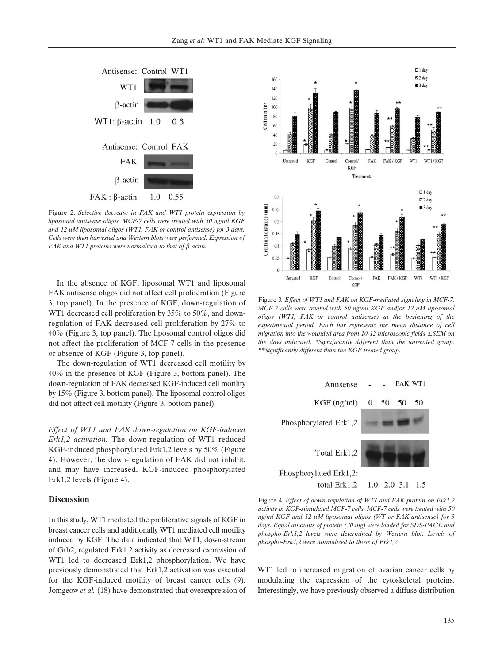

Figure 2. *Selective decrease in FAK and WT1 protein expression by liposomal antisense oligos. MCF-7 cells were treated with 50 ng/ml KGF* and 12  $\mu$ M liposomal oligos (WT1, FAK or control antisense) for 3 days. *Cells were then harvested and Western blots were performed. Expression of FAK and WT1 proteins were normalized to that of β-actin.* 

In the absence of KGF, liposomal WT1 and liposomal FAK antisense oligos did not affect cell proliferation (Figure 3, top panel). In the presence of KGF, down-regulation of WT1 decreased cell proliferation by 35% to 50%, and downregulation of FAK decreased cell proliferation by 27% to 40% (Figure 3, top panel). The liposomal control oligos did not affect the proliferation of MCF-7 cells in the presence or absence of KGF (Figure 3, top panel).

The down-regulation of WT1 decreased cell motility by 40% in the presence of KGF (Figure 3, bottom panel). The down-regulation of FAK decreased KGF-induced cell motility by 15% (Figure 3, bottom panel). The liposomal control oligos did not affect cell motility (Figure 3, bottom panel).

*Effect of WT1 and FAK down-regulation on KGF-induced Erk1,2 activation.* The down-regulation of WT1 reduced KGF-induced phosphorylated Erk1,2 levels by 50% (Figure 4). However, the down-regulation of FAK did not inhibit, and may have increased, KGF-induced phosphorylated Erk1,2 levels (Figure 4).

#### **Discussion**

In this study, WT1 mediated the proliferative signals of KGF in breast cancer cells and additionally WT1 mediated cell motility induced by KGF. The data indicated that WT1, down-stream of Grb2, regulated Erk1,2 activity as decreased expression of WT1 led to decreased Erk1,2 phosphorylation. We have previously demonstrated that Erk1,2 activation was essential for the KGF-induced motility of breast cancer cells (9). Jomgeow *et al.* (18) have demonstrated that overexpression of



Figure 3*. Effect of WT1 and FAK on KGF-mediated signaling in MCF-7. MCF-7 cells were treated with 50 ng/ml KGF and/or 12 µM liposomal oligos (WT1, FAK or control antisense) at the beginning of the experimental period. Each bar represents the mean distance of cell migration into the wounded area from 10-12 microscopic fields ±SEM on the days indicated. \*Significantly different than the untreated group. \*\*Significantly different than the KGF-treated group.*



Figure 4. *Effect of down-regulation of WT1 and FAK protein on Erk1,2 activity in KGF-stimulated MCF-7 cells. MCF-7 cells were treated with 50 ng/ml KGF and 12 µM liposomal oligos (WT or FAK antisense) for 3 days. Equal amounts of protein (30 mg) were loaded for SDS-PAGE and phospho-Erk1,2 levels were determined by Western blot. Levels of phospho-Erk1,2 were normalized to those of Erk1,2.*

WT1 led to increased migration of ovarian cancer cells by modulating the expression of the cytoskeletal proteins. Interestingly, we have previously observed a diffuse distribution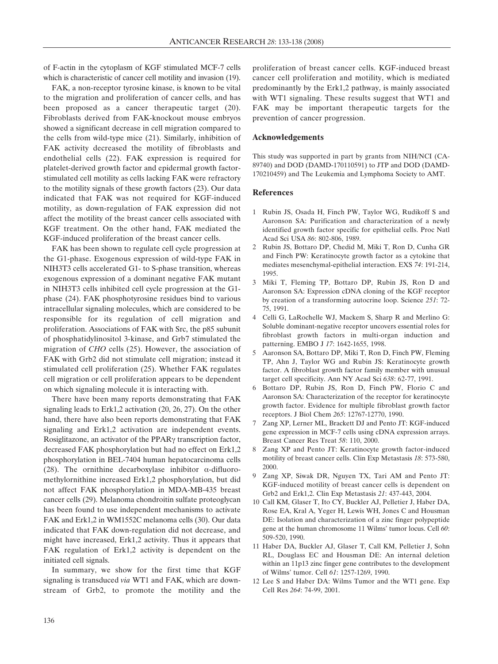of F-actin in the cytoplasm of KGF stimulated MCF-7 cells which is characteristic of cancer cell motility and invasion (19).

FAK, a non-receptor tyrosine kinase, is known to be vital to the migration and proliferation of cancer cells, and has been proposed as a cancer therapeutic target (20). Fibroblasts derived from FAK-knockout mouse embryos showed a significant decrease in cell migration compared to the cells from wild-type mice (21). Similarly, inhibition of FAK activity decreased the motility of fibroblasts and endothelial cells (22). FAK expression is required for platelet-derived growth factor and epidermal growth factorstimulated cell motility as cells lacking FAK were refractory to the motility signals of these growth factors (23). Our data indicated that FAK was not required for KGF-induced motility, as down-regulation of FAK expression did not affect the motility of the breast cancer cells associated with KGF treatment. On the other hand, FAK mediated the KGF-induced proliferation of the breast cancer cells.

FAK has been shown to regulate cell cycle progression at the G1-phase. Exogenous expression of wild-type FAK in NIH3T3 cells accelerated G1- to S-phase transition, whereas exogenous expression of a dominant negative FAK mutant in NIH3T3 cells inhibited cell cycle progression at the G1 phase (24). FAK phosphotyrosine residues bind to various intracellular signaling molecules, which are considered to be responsible for its regulation of cell migration and proliferation. Associations of FAK with Src, the p85 subunit of phosphatidylinositol 3-kinase, and Grb7 stimulated the migration of *CHO* cells (25). However, the association of FAK with Grb2 did not stimulate cell migration; instead it stimulated cell proliferation (25). Whether FAK regulates cell migration or cell proliferation appears to be dependent on which signaling molecule it is interacting with.

There have been many reports demonstrating that FAK signaling leads to Erk1,2 activation (20, 26, 27). On the other hand, there have also been reports demonstrating that FAK signaling and Erk1,2 activation are independent events. Rosiglitazone, an activator of the PPAR<sub>Y</sub> transcription factor, decreased FAK phosphorylation but had no effect on Erk1,2 phosphorylation in BEL-7404 human hepatocarcinoma cells (28). The ornithine decarboxylase inhibitor  $\alpha$ -difluoromethylornithine increased Erk1,2 phosphorylation, but did not affect FAK phosphorylation in MDA-MB-435 breast cancer cells (29). Melanoma chondroitin sulfate proteoglycan has been found to use independent mechanisms to activate FAK and Erk1,2 in WM1552C melanoma cells (30). Our data indicated that FAK down-regulation did not decrease, and might have increased, Erk1,2 activity. Thus it appears that FAK regulation of Erk1,2 activity is dependent on the initiated cell signals.

In summary, we show for the first time that KGF signaling is transduced *via* WT1 and FAK, which are downstream of Grb2, to promote the motility and the

proliferation of breast cancer cells. KGF-induced breast cancer cell proliferation and motility, which is mediated predominantly by the Erk1,2 pathway, is mainly associated with WT1 signaling. These results suggest that WT1 and FAK may be important therapeutic targets for the prevention of cancer progression.

## **Acknowledgements**

This study was supported in part by grants from NIH/NCI (CA-89740) and DOD (DAMD-170110591) to JTP and DOD (DAMD-170210459) and The Leukemia and Lymphoma Society to AMT.

### **References**

- 1 Rubin JS, Osada H, Finch PW, Taylor WG, Rudikoff S and Aaronson SA: Purification and characterization of a newly identified growth factor specific for epithelial cells. Proc Natl Acad Sci USA *86*: 802-806, 1989.
- 2 Rubin JS, Bottaro DP, Chedid M, Miki T, Ron D, Cunha GR and Finch PW: Keratinocyte growth factor as a cytokine that mediates mesenchymal-epithelial interaction. EXS *74*: 191-214, 1995.
- 3 Miki T, Fleming TP, Bottaro DP, Rubin JS, Ron D and Aaronson SA: Expression cDNA cloning of the KGF receptor by creation of a transforming autocrine loop. Science *251*: 72- 75, 1991.
- 4 Celli G, LaRochelle WJ, Mackem S, Sharp R and Merlino G: Soluble dominant-negative receptor uncovers essential roles for fibroblast growth factors in multi-organ induction and patterning. EMBO J *17*: 1642-1655, 1998.
- 5 Aaronson SA, Bottaro DP, Miki T, Ron D, Finch PW, Fleming TP, Ahn J, Taylor WG and Rubin JS: Keratinocyte growth factor. A fibroblast growth factor family member with unusual target cell specificity. Ann NY Acad Sci *638*: 62-77, 1991.
- 6 Bottaro DP, Rubin JS, Ron D, Finch PW, Florio C and Aaronson SA: Characterization of the receptor for keratinocyte growth factor. Evidence for multiple fibroblast growth factor receptors. J Biol Chem *265*: 12767-12770, 1990.
- 7 Zang XP, Lerner ML, Brackett DJ and Pento JT: KGF-induced gene expression in MCF-7 cells using cDNA expression arrays. Breast Cancer Res Treat *58*: 110, 2000.
- 8 Zang XP and Pento JT: Keratinocyte growth factor-induced motility of breast cancer cells. Clin Exp Metastasis *18*: 573-580, 2000.
- 9 Zang XP, Siwak DR, Nguyen TX, Tari AM and Pento JT: KGF-induced motility of breast cancer cells is dependent on Grb2 and Erk1,2. Clin Exp Metastasis *21*: 437-443, 2004.
- 10 Call KM, Glaser T, Ito CY, Buckler AJ, Pelletier J, Haber DA, Rose EA, Kral A, Yeger H, Lewis WH, Jones C and Housman DE: Isolation and characterization of a zinc finger polypeptide gene at the human chromosome 11 Wilms' tumor locus. Cell *60*: 509-520, 1990.
- 11 Haber DA, Buckler AJ, Glaser T, Call KM, Pelletier J, Sohn RL, Douglass EC and Housman DE: An internal deletion within an 11p13 zinc finger gene contributes to the development of Wilms' tumor. Cell *61*: 1257-1269, 1990.
- 12 Lee S and Haber DA: Wilms Tumor and the WT1 gene. Exp Cell Res *264*: 74-99, 2001.